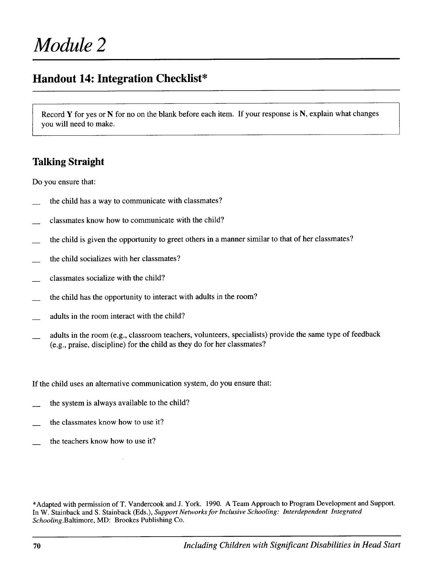## **Handout 14: Integration Checklist\***

Record **Y** for yes or N for no on the blank before each item. If your response is N, explain what changes you will need to make.

### **Talking Straight**

Do you ensure that:

- the child has a way to communicate with classmates?
- classmates know how to communicate with the child?
- the child is given the opportunity to greet others in a manner similar to that of her classmates?
- the child socializes with her classmates?
- classmates socialize with the child?
- the child has the opportunity to interact with adults in the room?
- adults in the room interact with the child?
- adults in the room (e.g., classroom teachers, volunteers, specialists) provide the same type of feedback (e.g., praise, discipline) for the child as they do for her classmates?

If the child uses an alternative communication system, do you ensure that:

- the system is always available to the child?
- the classmates know how to use it?
- the teachers know how to use it?

\*Adapted with permission of T. Vandercook and J. York. 1990. A Team Approach to Program Development and Support. In W. Stainback and S. Stainback (Eds.), *Support Networks for Inclusive Schooling: Interdependent Integrated Schooling.Baltimore,*MD: Brookes Publishing Co.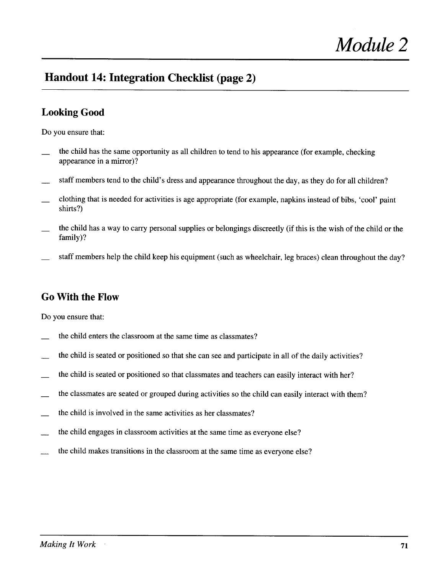# **Handout 14: Integration Checklist (page 2)**

### **Looking Good**

Do you ensure that:

- $\overline{\phantom{0}}$ the child has the same opportunity as all children to tend to his appearance (for example, checking appearance in a mirror)?
- $\overline{\phantom{a}}$ staff members tend to the child's dress and appearance throughout the day, as they do for all children?
- clothing that is needed for activities is age appropriate (for example, napkins instead of bibs, 'cool' paint shirts?)
- **\_\_**  the child has a way to carry personal supplies or belongings discreetly (if this is the wish of the child or the family)?
- $\overline{\phantom{a}}$ staff members help the child keep his equipment (such as wheelchair, leg braces) clean throughout the day?

#### **Go With the Flow**

Do you ensure that:

- the child enters the classroom at the same time as classmates?
- **\_\_**  the child is seated or positioned so that she can see and participate in all of the daily activities?
- **\_\_**  the child is seated or positioned so that classmates and teachers can easily interact with her?
- **\_\_**  the classmates are seated or grouped during activities so the child can easily interact with them?
- the child is involved in the same activities as her classmates?
- **\_\_**  the child engages in classroom activities at the same time as everyone else?
- **\_\_**  the child makes transitions in the classroom at the same time as everyone else?